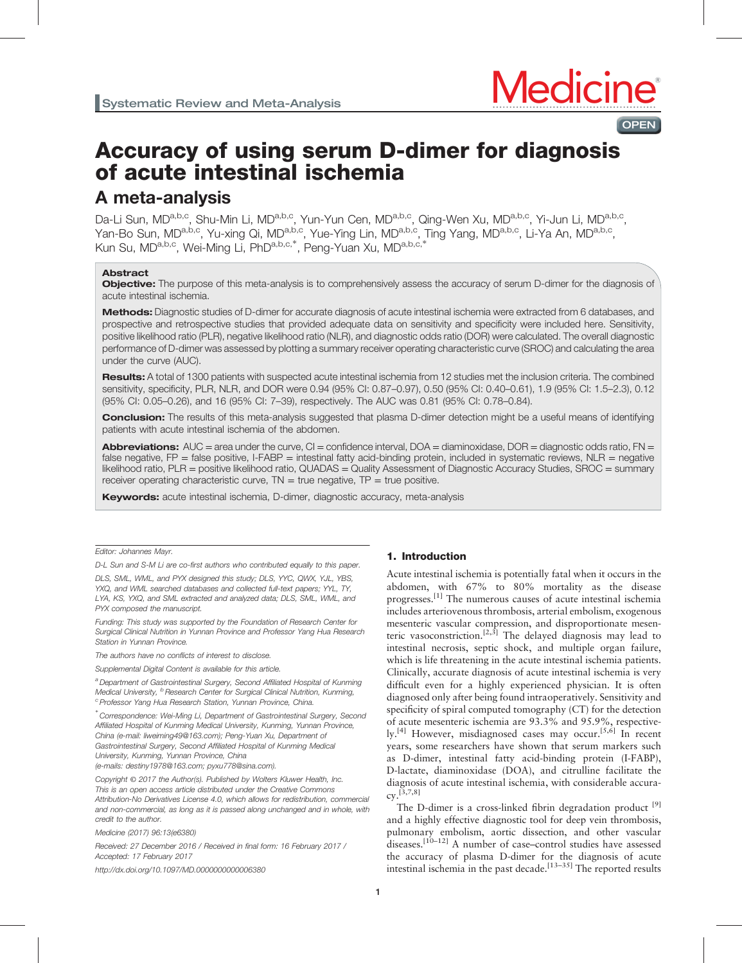

# Accuracy of using serum D-dimer for diagnosis of acute intestinal ischemia

# A meta-analysis

Da-Li Sun, MD<sup>a,b,c</sup>, Shu-Min Li, MD<sup>a,b,c</sup>, Yun-Yun Cen, MD<sup>a,b,c</sup>, Qing-Wen Xu, MD<sup>a,b,c</sup>, Yi-Jun Li, MD<sup>a,b,c</sup>, Yan-Bo Sun, MD<sup>a,b,c</sup>, Yu-xing Qi, MD<sup>a,b,c</sup>, Yue-Ying Lin, MD<sup>a,b,c</sup>, Ting Yang, MD<sup>a,b,c</sup>, Li-Ya An, MD<sup>a,b,c</sup>, num De Dun<sub>, Ab,c</sub>, Wei-Ming Li, PhD<sup>a,b,c,\*</sup>, Peng-Yuan Xu, MD<sup>a,b,c,\*</sup>

# Abstract

Objective: The purpose of this meta-analysis is to comprehensively assess the accuracy of serum D-dimer for the diagnosis of acute intestinal ischemia.

Methods: Diagnostic studies of D-dimer for accurate diagnosis of acute intestinal ischemia were extracted from 6 databases, and prospective and retrospective studies that provided adequate data on sensitivity and specificity were included here. Sensitivity, positive likelihood ratio (PLR), negative likelihood ratio (NLR), and diagnostic odds ratio (DOR) were calculated. The overall diagnostic performance of D-dimer was assessed by plotting a summary receiver operating characteristic curve (SROC) and calculating the area under the curve (AUC).

Results: A total of 1300 patients with suspected acute intestinal ischemia from 12 studies met the inclusion criteria. The combined sensitivity, specificity, PLR, NLR, and DOR were 0.94 (95% CI: 0.87–0.97), 0.50 (95% CI: 0.40–0.61), 1.9 (95% CI: 1.5–2.3), 0.12 (95% CI: 0.05–0.26), and 16 (95% CI: 7–39), respectively. The AUC was 0.81 (95% CI: 0.78–0.84).

**Conclusion:** The results of this meta-analysis suggested that plasma D-dimer detection might be a useful means of identifying patients with acute intestinal ischemia of the abdomen.

**Abbreviations:**  $AUC =$  area under the curve,  $CI =$  confidence interval,  $DOA =$  diaminoxidase,  $DOR =$  diagnostic odds ratio,  $FN =$ false negative, FP = false positive, I-FABP = intestinal fatty acid-binding protein, included in systematic reviews, NLR = negative likelihood ratio, PLR = positive likelihood ratio, QUADAS = Quality Assessment of Diagnostic Accuracy Studies, SROC = summary receiver operating characteristic curve,  $TN = true$  negative,  $TP = true$  positive.

Keywords: acute intestinal ischemia, D-dimer, diagnostic accuracy, meta-analysis

#### Editor: Johannes Mayr.

D-L Sun and S-M Li are co-first authors who contributed equally to this paper.

DLS, SML, WML, and PYX designed this study; DLS, YYC, QWX, YJL, YBS, YXQ, and WML searched databases and collected full-text papers; YYL, TY, LYA, KS, YXQ, and SML extracted and analyzed data; DLS, SML, WML, and PYX composed the manuscript.

Funding: This study was supported by the Foundation of Research Center for Surgical Clinical Nutrition in Yunnan Province and Professor Yang Hua Research Station in Yunnan Province.

The authors have no conflicts of interest to disclose.

Supplemental Digital Content is available for this article.

<sup>a</sup> Department of Gastrointestinal Surgery, Second Affiliated Hospital of Kunming Medical University, <sup>b</sup> Research Center for Surgical Clinical Nutrition, Kunming, <sup>c</sup> Professor Yang Hua Research Station, Yunnan Province, China.

∗ Correspondence: Wei-Ming Li, Department of Gastrointestinal Surgery, Second Affiliated Hospital of Kunming Medical University, Kunming, Yunnan Province, China (e-mail: [liweiming49@163.com](mailto:liweiming49@163.com)); Peng-Yuan Xu, Department of Gastrointestinal Surgery, Second Affiliated Hospital of Kunming Medical University, Kunming, Yunnan Province, China (e-mails: [destiny1978@163.com; pyxu778@sina.com](mailto:destiny1978@163.com; pyxu778@sina.com)).

Copyright © 2017 the Author(s). Published by Wolters Kluwer Health, Inc. This is an open access article distributed under the [Creative Commons](http://creativecommons.org/licenses/by-nd/4.0) [Attribution-No Derivatives License 4.0,](http://creativecommons.org/licenses/by-nd/4.0) which allows for redistribution, commercial and non-commercial, as long as it is passed along unchanged and in whole, with credit to the author.

Medicine (2017) 96:13(e6380)

Received: 27 December 2016 / Received in final form: 16 February 2017 / Accepted: 17 February 2017

<http://dx.doi.org/10.1097/MD.0000000000006380>

# 1. Introduction

Acute intestinal ischemia is potentially fatal when it occurs in the abdomen, with 67% to 80% mortality as the disease progresses.<sup>[\[1\]](#page-5-0)</sup> The numerous causes of acute intestinal ischemia includes arteriovenous thrombosis, arterial embolism, exogenous mesenteric vascular compression, and disproportionate mesenteric vasoconstriction.<sup>[2,3]</sup> The delayed diagnosis may lead to intestinal necrosis, septic shock, and multiple organ failure, which is life threatening in the acute intestinal ischemia patients. Clinically, accurate diagnosis of acute intestinal ischemia is very difficult even for a highly experienced physician. It is often diagnosed only after being found intraoperatively. Sensitivity and specificity of spiral computed tomography (CT) for the detection of acute mesenteric ischemia are 93.3% and 95.9%, respectively.<sup>[4]</sup> However, misdiagnosed cases may occur.<sup>[5,6]</sup> In recent years, some researchers have shown that serum markers such as D-dimer, intestinal fatty acid-binding protein (I-FABP), D-lactate, diaminoxidase (DOA), and citrulline facilitate the diagnosis of acute intestinal ischemia, with considerable accuracy.[3,7,8]

The D-dimer is a cross-linked fibrin degradation product<sup>[\[9\]](#page-5-0)</sup> and a highly effective diagnostic tool for deep vein thrombosis, pulmonary embolism, aortic dissection, and other vascular diseases.[10–12] A number of case–control studies have assessed the accuracy of plasma D-dimer for the diagnosis of acute intestinal ischemia in the past decade.<sup>[13–35]</sup> The reported results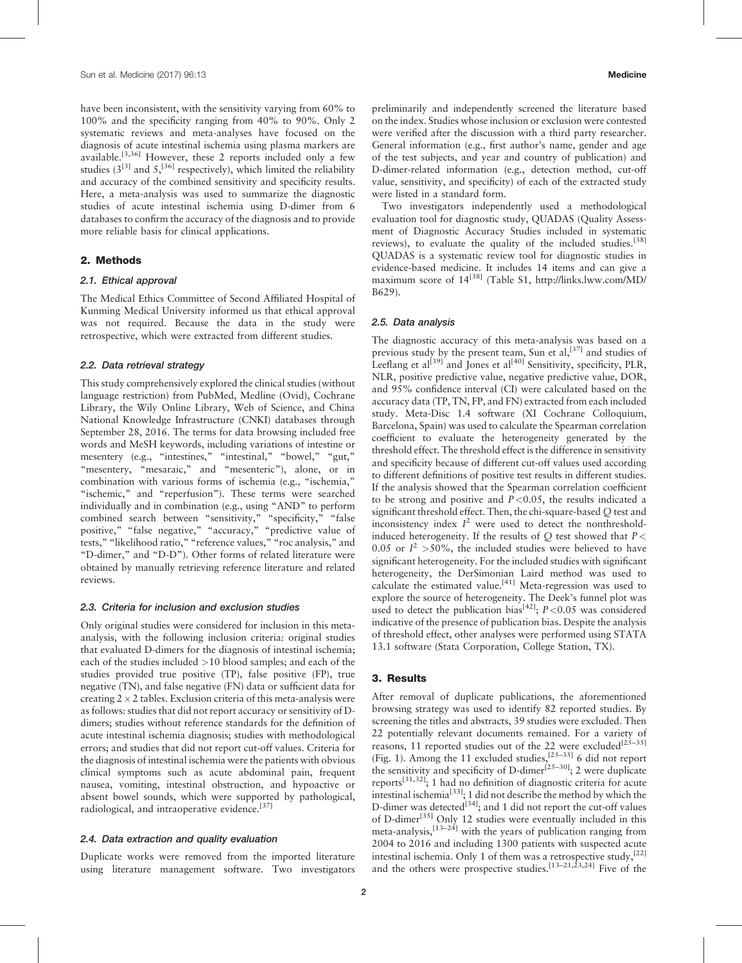have been inconsistent, with the sensitivity varying from 60% to 100% and the specificity ranging from 40% to 90%. Only 2 systematic reviews and meta-analyses have focused on the diagnosis of acute intestinal ischemia using plasma markers are available.<sup>[3,36]</sup> However, these 2 reports included only a few studies  $(3^{[3]}$  $(3^{[3]}$  $(3^{[3]}$  and  $5^{[36]}$  $5^{[36]}$  $5^{[36]}$  respectively), which limited the reliability and accuracy of the combined sensitivity and specificity results. Here, a meta-analysis was used to summarize the diagnostic studies of acute intestinal ischemia using D-dimer from 6 databases to confirm the accuracy of the diagnosis and to provide more reliable basis for clinical applications.

# 2. Methods

#### 2.1. Ethical approval

The Medical Ethics Committee of Second Affiliated Hospital of Kunming Medical University informed us that ethical approval was not required. Because the data in the study were retrospective, which were extracted from different studies.

#### 2.2. Data retrieval strategy

This study comprehensively explored the clinical studies (without language restriction) from PubMed, Medline (Ovid), Cochrane Library, the Wily Online Library, Web of Science, and China National Knowledge Infrastructure (CNKI) databases through September 28, 2016. The terms for data browsing included free words and MeSH keywords, including variations of intestine or mesentery (e.g., "intestines," "intestinal," "bowel," "gut," "mesentery, "mesaraic," and "mesenteric"), alone, or in combination with various forms of ischemia (e.g., "ischemia," "ischemic," and "reperfusion"). These terms were searched individually and in combination (e.g., using "AND" to perform combined search between "sensitivity," "specificity," "false positive," "false negative," "accuracy," "predictive value of tests," "likelihood ratio," "reference values," "roc analysis," and "D-dimer," and "D-D"). Other forms of related literature were obtained by manually retrieving reference literature and related reviews.

# 2.3. Criteria for inclusion and exclusion studies

Only original studies were considered for inclusion in this metaanalysis, with the following inclusion criteria: original studies that evaluated D-dimers for the diagnosis of intestinal ischemia; each of the studies included >10 blood samples; and each of the studies provided true positive (TP), false positive (FP), true negative (TN), and false negative (FN) data or sufficient data for creating  $2 \times 2$  tables. Exclusion criteria of this meta-analysis were as follows: studies that did not report accuracy or sensitivity of Ddimers; studies without reference standards for the definition of acute intestinal ischemia diagnosis; studies with methodological errors; and studies that did not report cut-off values. Criteria for the diagnosis of intestinal ischemia were the patients with obvious clinical symptoms such as acute abdominal pain, frequent nausea, vomiting, intestinal obstruction, and hypoactive or absent bowel sounds, which were supported by pathological, radiological, and intraoperative evidence.<sup>[\[37\]](#page-6-0)</sup>

#### 2.4. Data extraction and quality evaluation

Duplicate works were removed from the imported literature using literature management software. Two investigators preliminarily and independently screened the literature based on the index. Studies whose inclusion or exclusion were contested were verified after the discussion with a third party researcher. General information (e.g., first author's name, gender and age of the test subjects, and year and country of publication) and D-dimer-related information (e.g., detection method, cut-off value, sensitivity, and specificity) of each of the extracted study were listed in a standard form.

Two investigators independently used a methodological evaluation tool for diagnostic study, QUADAS (Quality Assessment of Diagnostic Accuracy Studies included in systematic reviews), to evaluate the quality of the included studies.<sup>[\[38\]](#page-6-0)</sup> QUADAS is a systematic review tool for diagnostic studies in evidence-based medicine. It includes 14 items and can give a maximum score of  $14^{[38]}$  $14^{[38]}$  $14^{[38]}$  (Table S1, [http://links.lww.com/MD/](http://links.lww.com/MD/B629) [B629](http://links.lww.com/MD/B629)).

# 2.5. Data analysis

The diagnostic accuracy of this meta-analysis was based on a previous study by the present team, Sun et al,  $[37]$  and studies of Leeflang et al<sup>[\[39\]](#page-6-0)</sup> and Jones et al<sup>[\[40\]](#page-6-0)</sup> Sensitivity, specificity, PLR, NLR, positive predictive value, negative predictive value, DOR, and 95% confidence interval (CI) were calculated based on the accuracy data (TP, TN, FP, and FN) extracted from each included study. Meta-Disc 1.4 software (XI Cochrane Colloquium, Barcelona, Spain) was used to calculate the Spearman correlation coefficient to evaluate the heterogeneity generated by the threshold effect. The threshold effect is the difference in sensitivity and specificity because of different cut-off values used according to different definitions of positive test results in different studies. If the analysis showed that the Spearman correlation coefficient to be strong and positive and  $P < 0.05$ , the results indicated a significant threshold effect. Then, the chi-square-based Q test and inconsistency index  $I^2$  were used to detect the nonthresholdinduced heterogeneity. If the results of O test showed that  $P \lt \theta$ 0.05 or  $I^2 > 50\%$ , the included studies were believed to have significant heterogeneity. For the included studies with significant heterogeneity, the DerSimonian Laird method was used to calculate the estimated value.<sup>[\[41\]](#page-6-0)</sup> Meta-regression was used to explore the source of heterogeneity. The Deek's funnel plot was explore the source of heterogeneity; the Deen's contribution  $s^2$  and  $s^2$ indicative of the presence of publication bias. Despite the analysis of threshold effect, other analyses were performed using STATA 13.1 software (Stata Corporation, College Station, TX).

#### 3. Results

After removal of duplicate publications, the aforementioned browsing strategy was used to identify 82 reported studies. By screening the titles and abstracts, 39 studies were excluded. Then 22 potentially relevant documents remained. For a variety of reasons, 11 reported studies out of the 22 were excluded<sup>[25-35]</sup> ([Fig. 1\)](#page-2-0). Among the 11 excluded studies,<sup>[25–35]</sup> 6 did not report the sensitivity and specificity of D-dimer<sup> $[25-30]$ </sup>; 2 were duplicate reports[31,32]; 1 had no definition of diagnostic criteria for acute intestinal ischemia[\[33\]](#page-6-0); 1 did not describe the method by which the D-dimer was detected<sup>[34]</sup>; and 1 did not report the cut-off values of D-dimer<sup>[\[35\]](#page-6-0)</sup> Only 12 studies were eventually included in this meta-analysis, $[13-24]$  with the years of publication ranging from 2004 to 2016 and including 1300 patients with suspected acute intestinal ischemia. Only 1 of them was a retrospective study,  $[22]$ and the others were prospective studies.<sup>[13–21,23,24]</sup> Five of the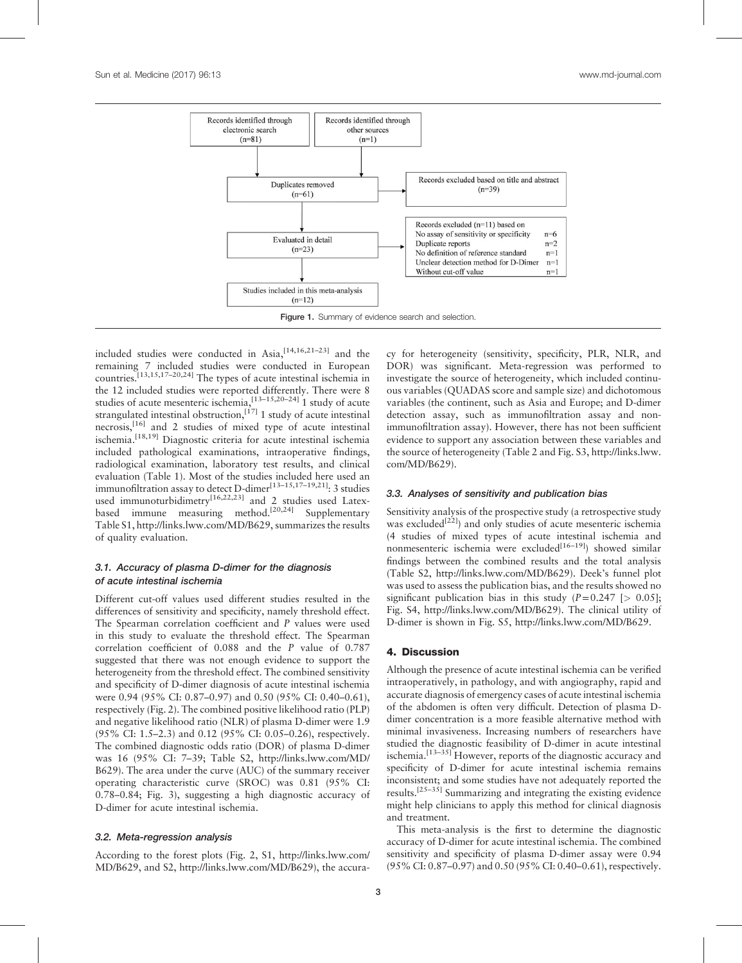<span id="page-2-0"></span>

included studies were conducted in Asia,[14,16,21–23] and the remaining 7 included studies were conducted in European countries.[13,15,17–20,24] The types of acute intestinal ischemia in the 12 included studies were reported differently. There were 8 studies of acute mesenteric ischemia, $[13-15,20-24]$  1 study of acute strangulated intestinal obstruction,<sup>[\[17\]](#page-5-0)</sup> 1 study of acute intestinal necrosis,<sup>[\[16\]](#page-5-0)</sup> and 2 studies of mixed type of acute intestinal ischemia.[18,19] Diagnostic criteria for acute intestinal ischemia included pathological examinations, intraoperative findings, radiological examination, laboratory test results, and clinical evaluation ([Table 1](#page-3-0)). Most of the studies included here used an immunofiltration assay to detect D-dimer $^{[13-15,17-19,21]}$ : 3 studies used immunoturbidimetry<sup>[16,22,23]</sup> and 2 studies used Latexbased immune measuring method.<sup>[20,24]</sup> Supplementary Table S1,<http://links.lww.com/MD/B629>, summarizes the results of quality evaluation.

# 3.1. Accuracy of plasma D-dimer for the diagnosis of acute intestinal ischemia

Different cut-off values used different studies resulted in the differences of sensitivity and specificity, namely threshold effect. The Spearman correlation coefficient and P values were used in this study to evaluate the threshold effect. The Spearman correlation coefficient of 0.088 and the P value of 0.787 suggested that there was not enough evidence to support the heterogeneity from the threshold effect. The combined sensitivity and specificity of D-dimer diagnosis of acute intestinal ischemia were 0.94 (95% CI: 0.87–0.97) and 0.50 (95% CI: 0.40–0.61), respectively ([Fig. 2\)](#page-4-0). The combined positive likelihood ratio (PLP) and negative likelihood ratio (NLR) of plasma D-dimer were 1.9 (95% CI: 1.5–2.3) and 0.12 (95% CI: 0.05–0.26), respectively. The combined diagnostic odds ratio (DOR) of plasma D-dimer was 16 (95% CI: 7–39; Table S2, [http://links.lww.com/MD/](http://links.lww.com/MD/B629) [B629](http://links.lww.com/MD/B629)). The area under the curve (AUC) of the summary receiver operating characteristic curve (SROC) was 0.81 (95% CI: 0.78–0.84; [Fig. 3](#page-4-0)), suggesting a high diagnostic accuracy of D-dimer for acute intestinal ischemia.

#### 3.2. Meta-regression analysis

According to the forest plots ([Fig. 2,](#page-4-0) S1, [http://links.lww.com/](http://links.lww.com/MD/B629) [MD/B629,](http://links.lww.com/MD/B629) and S2, [http://links.lww.com/MD/B629\)](http://links.lww.com/MD/B629), the accuracy for heterogeneity (sensitivity, specificity, PLR, NLR, and DOR) was significant. Meta-regression was performed to investigate the source of heterogeneity, which included continuous variables (QUADAS score and sample size) and dichotomous variables (the continent, such as Asia and Europe; and D-dimer detection assay, such as immunofiltration assay and nonimmunofiltration assay). However, there has not been sufficient evidence to support any association between these variables and the source of heterogeneity [\(Table 2](#page-5-0) and Fig. S3, [http://links.lww.](http://links.lww.com/MD/B629) [com/MD/B629](http://links.lww.com/MD/B629)).

# 3.3. Analyses of sensitivity and publication bias

Sensitivity analysis of the prospective study (a retrospective study was excluded<sup>[22]</sup>) and only studies of acute mesenteric ischemia (4 studies of mixed types of acute intestinal ischemia and nonmesenteric ischemia were excluded<sup>[16–19]</sup>) showed similar findings between the combined results and the total analysis (Table S2, [http://links.lww.com/MD/B629\)](http://links.lww.com/MD/B629). Deek's funnel plot was used to assess the publication bias, and the results showed no significant publication bias in this study  $(P=0.247 > 0.05]$ ; Fig. S4, [http://links.lww.com/MD/B629\)](http://links.lww.com/MD/B629). The clinical utility of D-dimer is shown in Fig. S5, [http://links.lww.com/MD/B629.](http://links.lww.com/MD/B629)

# 4. Discussion

Although the presence of acute intestinal ischemia can be verified intraoperatively, in pathology, and with angiography, rapid and accurate diagnosis of emergency cases of acute intestinal ischemia of the abdomen is often very difficult. Detection of plasma Ddimer concentration is a more feasible alternative method with minimal invasiveness. Increasing numbers of researchers have studied the diagnostic feasibility of D-dimer in acute intestinal ischemia. $\frac{[13-35]}{[13-35]}$  However, reports of the diagnostic accuracy and specificity of D-dimer for acute intestinal ischemia remains inconsistent; and some studies have not adequately reported the results.[25–35] Summarizing and integrating the existing evidence might help clinicians to apply this method for clinical diagnosis and treatment.

This meta-analysis is the first to determine the diagnostic accuracy of D-dimer for acute intestinal ischemia. The combined sensitivity and specificity of plasma D-dimer assay were 0.94 (95% CI: 0.87–0.97) and 0.50 (95% CI: 0.40–0.61), respectively.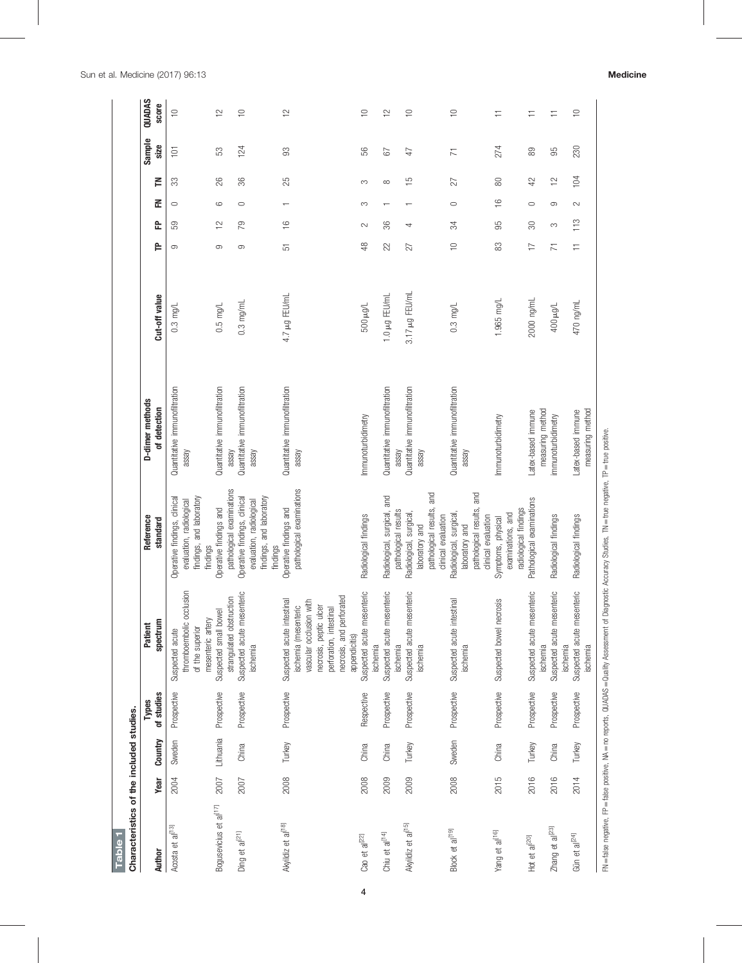<span id="page-3-0"></span>

| Characteristics of the included studies.<br>Table 1 |      |           |              |                                                                                                                                                                                |                                                                                                  |                                        |                    |                           |               |               |                 |                |                |
|-----------------------------------------------------|------|-----------|--------------|--------------------------------------------------------------------------------------------------------------------------------------------------------------------------------|--------------------------------------------------------------------------------------------------|----------------------------------------|--------------------|---------------------------|---------------|---------------|-----------------|----------------|----------------|
|                                                     |      |           | <b>Types</b> | Patient                                                                                                                                                                        | Reference                                                                                        | D-dimer methods                        |                    |                           |               |               |                 | Sample         | QUADAS         |
| Author                                              | Year | Country   | of studies   | spectrum                                                                                                                                                                       | standard                                                                                         | of detection                           | Cut-off value      | 은                         | 丘             | 孟             | 른               | size           | score          |
| Acosta et al <sup>[13]</sup>                        | 2004 | Sweden    | Prospective  | thromboembolic occlusion<br>mesenteric artery<br>of the superior<br>Suspected acute                                                                                            | findings, and laboratory<br>Operative findings, clinical<br>evaluation, radiological<br>findings | Quantitative immunofiltration<br>assay | $0.3$ mg/L         | $\circ$                   | 59            | $\circ$       | SS <sub>1</sub> | $\overline{C}$ | $\supseteq$    |
| Bogusevicius et al <sup>[17]</sup>                  | 2007 | Lithuania | Prospective  | Suspected small bowel                                                                                                                                                          | pathological examinations<br>Operative findings and                                              | Quantitative immunofiltration<br>assay | $0.5 \text{ mg/L}$ | 0                         | $\approx$     | 6             | 26              | S3             | $\frac{1}{2}$  |
| Ding et al <sup>[21]</sup>                          | 2007 | China     | Prospective  | strangulated obstruction<br>Suspected acute mesenteric<br>ischemia                                                                                                             | Operative findings, clinical<br>findings, and laboratory<br>evaluation, radiological<br>findings | Quantitative immunofiltration<br>assay | $0.3$ mg/mL        | 0                         | 79            | $\circ$       | 36              | 124            | $\supseteq$    |
| Akyildiz et al <sup>[18]</sup>                      | 2008 | Turkey    | Prospective  | necrosis, and perforated<br>Suspected acute intestina<br>vascular occlusion with<br>necrosis, peptic ulcer<br>ischemia (mesenteric<br>perforation, intestinal<br>appendicitis) | pathological examinations<br>Operative findings and                                              | Quantitative immunofiltration<br>assay | 4.7 µg FEU/ml      | 51                        | $\frac{1}{2}$ |               | 25              | SS             | $\approx$      |
| Cao et $a^{[22]}$                                   | 2008 | China     | Respective   | Suspected acute mesenteric<br>ischemia                                                                                                                                         | Radiological findings                                                                            | Immunoturbidimetry                     | 1/0m 005           | 48                        | $\sim$        | S             | S               | 56             | $\supseteq$    |
| Chiu et al <sup>[14]</sup>                          | 2009 | China     | Prospective  | Suspected acute mesenteric<br>ischemia                                                                                                                                         | Radiological, surgical, and<br>pathological results                                              | Quantitative immunofiltration<br>assay | 1.0 µg FEU/mL      | 22                        | 36            |               | $\infty$        | 67             | $\frac{2}{3}$  |
| Akyildiz et al <sup>[15]</sup>                      | 2009 | Turkey    | Prospective  | Suspected acute mesenteric<br>ischemia                                                                                                                                         | pathological results, and<br>Radiological, surgical,<br>clinical evaluation<br>laboratory and    | Quantitative immunofiltration<br>assay | 3.17 µg FEU/mL     | 27                        | 4             |               | ST.             | 47             | $\supseteq$    |
| Block et al <sup>[19]</sup>                         | 2008 | Sweden    | Prospective  | Suspected acute intestina<br>ischemia                                                                                                                                          | pathological results, and<br>Radiological, surgical,<br>clinical evaluation<br>laboratory and    | Quantitative immunofiltration<br>assay | $0.3$ mg/L         | $\frac{1}{1}$             | 34            | $\circ$       | 27              | 71             | $\supseteq$    |
| Yang et al <sup>[16]</sup>                          | 2015 | China     | Prospective  | Suspected bowel necrosis                                                                                                                                                       | radiological findings<br>examinations, and<br>Symptoms, physical                                 | Immunoturbidimetry                     | 1.965 mg/L         | 83                        | 95            | $\frac{6}{1}$ | 80              | 274            | $\overline{+}$ |
| Hot et al <sup>[20]</sup>                           | 2016 | Turkey    | Prospective  | Suspected acute mesenteric<br>ischemia                                                                                                                                         | Pathological examinations                                                                        | measuring method<br>Latex-based immune | 2000 ng/mL         | $\overline{1}$            | 80            | $\circ$       | 42              | 89             | Ξ              |
| Zhang et al <sup>[23]</sup>                         | 2016 | China     | Prospective  | Suspected acute mesenteric<br>ischemia                                                                                                                                         | Radiological findings                                                                            | immunoturbidimetry                     | 100 µg/L           | $\overline{7}$            | $\infty$      | 0             | $\approx$       | 95             | Ξ              |
| Gün et al <sup>[24]</sup>                           | 2014 | Turkey    | Prospective  | Suspected acute mesenteric<br>ischemia                                                                                                                                         | Radiological findings                                                                            | measuring method<br>Latex-based immune | 470 ng/mL          | $\overline{\overline{a}}$ | 113           | $\sim$        | 104             | 230            | $\supseteq$    |
|                                                     |      |           |              | FN=false negative, FP=false positive, NA=no reports, QUADAS=Quality Assessment of Diagnostic Accuracy Studies, TN=true negative, TP=true positive.                             |                                                                                                  |                                        |                    |                           |               |               |                 |                |                |

4

Table<sub>1</sub>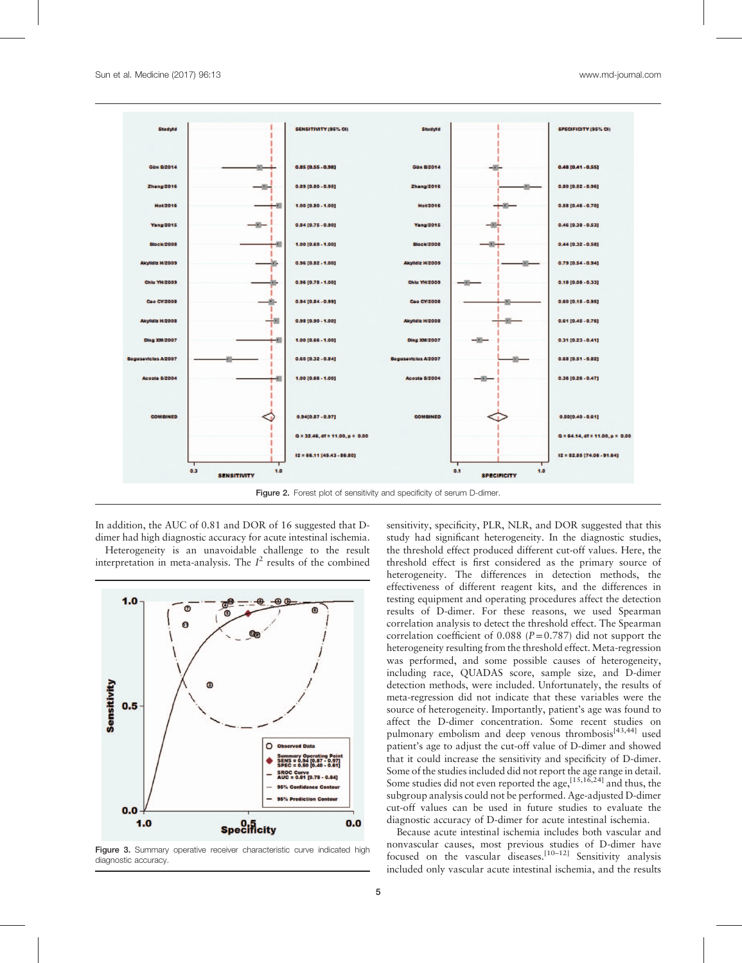<span id="page-4-0"></span>

Figure 2. Forest plot of sensitivity and specificity of serum D-dimer.

In addition, the AUC of 0.81 and DOR of 16 suggested that Ddimer had high diagnostic accuracy for acute intestinal ischemia.

Heterogeneity is an unavoidable challenge to the result interpretation in meta-analysis. The  $I^2$  results of the combined



Figure 3. Summary operative receiver characteristic curve indicated high diagnostic accuracy.

sensitivity, specificity, PLR, NLR, and DOR suggested that this study had significant heterogeneity. In the diagnostic studies, the threshold effect produced different cut-off values. Here, the threshold effect is first considered as the primary source of heterogeneity. The differences in detection methods, the effectiveness of different reagent kits, and the differences in testing equipment and operating procedures affect the detection results of D-dimer. For these reasons, we used Spearman correlation analysis to detect the threshold effect. The Spearman correlation coefficient of 0.088 ( $P = 0.787$ ) did not support the heterogeneity resulting from the threshold effect. Meta-regression was performed, and some possible causes of heterogeneity, including race, QUADAS score, sample size, and D-dimer detection methods, were included. Unfortunately, the results of meta-regression did not indicate that these variables were the source of heterogeneity. Importantly, patient's age was found to affect the D-dimer concentration. Some recent studies on pulmonary embolism and deep venous thrombosis<sup>[43,44]</sup> used patient's age to adjust the cut-off value of D-dimer and showed that it could increase the sensitivity and specificity of D-dimer. Some of the studies included did not report the age range in detail. Some studies did not even reported the age,  $[15,16,24]$  and thus, the subgroup analysis could not be performed. Age-adjusted D-dimer cut-off values can be used in future studies to evaluate the diagnostic accuracy of D-dimer for acute intestinal ischemia.

Because acute intestinal ischemia includes both vascular and nonvascular causes, most previous studies of D-dimer have focused on the vascular diseases.<sup>[10-12]</sup> Sensitivity analysis included only vascular acute intestinal ischemia, and the results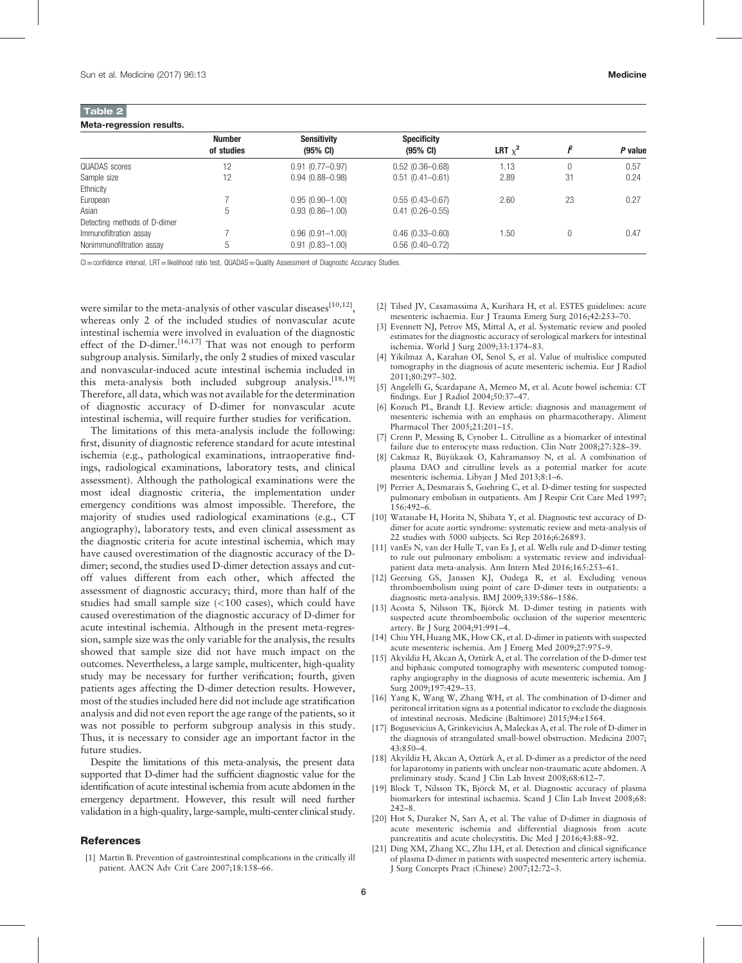# <span id="page-5-0"></span>Table 2

Meta-regression results.

| <u>MELA-TEYRESSIVII TESUILS.</u> |                             |                                           |                                          |              |    |         |
|----------------------------------|-----------------------------|-------------------------------------------|------------------------------------------|--------------|----|---------|
|                                  | <b>Number</b><br>of studies | <b>Sensitivity</b><br>$(95\% \text{ CI})$ | <b>Specificity</b><br>$(95% \text{ CI})$ | LRT $\chi^2$ |    | P value |
| <b>QUADAS</b> scores             | 12                          | $0.91(0.77 - 0.97)$                       | $0.52(0.36 - 0.68)$                      | 1.13         | 0  | 0.57    |
| Sample size                      | 12                          | $0.94(0.88 - 0.98)$                       | $0.51(0.41 - 0.61)$                      | 2.89         | 31 | 0.24    |
| Ethnicity                        |                             |                                           |                                          |              |    |         |
| European                         |                             | $0.95(0.90 - 1.00)$                       | $0.55(0.43 - 0.67)$                      | 2.60         | 23 | 0.27    |
| Asian                            | 5                           | $0.93(0.86 - 1.00)$                       | $0.41(0.26 - 0.55)$                      |              |    |         |
| Detecting methods of D-dimer     |                             |                                           |                                          |              |    |         |
| Immunofiltration assay           |                             | $0.96(0.91 - 1.00)$                       | $0.46(0.33 - 0.60)$                      | 1.50         | 0  | 0.47    |
| Nonimmunofiltration assay        | b                           | $0.91(0.83 - 1.00)$                       | $0.56(0.40 - 0.72)$                      |              |    |         |

CI=confidence interval, LRT=likelihood ratio test, QUADAS=Quality Assessment of Diagnostic Accuracy Studies.

were similar to the meta-analysis of other vascular diseases<sup>[10,12]</sup>, whereas only 2 of the included studies of nonvascular acute intestinal ischemia were involved in evaluation of the diagnostic effect of the D-dimer.<sup>[16,17]</sup> That was not enough to perform subgroup analysis. Similarly, the only 2 studies of mixed vascular and nonvascular-induced acute intestinal ischemia included in this meta-analysis both included subgroup analysis.<sup>[18,19]</sup> Therefore, all data, which was not available for the determination of diagnostic accuracy of D-dimer for nonvascular acute intestinal ischemia, will require further studies for verification.

The limitations of this meta-analysis include the following: first, disunity of diagnostic reference standard for acute intestinal ischemia (e.g., pathological examinations, intraoperative findings, radiological examinations, laboratory tests, and clinical assessment). Although the pathological examinations were the most ideal diagnostic criteria, the implementation under emergency conditions was almost impossible. Therefore, the majority of studies used radiological examinations (e.g., CT angiography), laboratory tests, and even clinical assessment as the diagnostic criteria for acute intestinal ischemia, which may have caused overestimation of the diagnostic accuracy of the Ddimer; second, the studies used D-dimer detection assays and cutoff values different from each other, which affected the assessment of diagnostic accuracy; third, more than half of the studies had small sample size (<100 cases), which could have caused overestimation of the diagnostic accuracy of D-dimer for acute intestinal ischemia. Although in the present meta-regression, sample size was the only variable for the analysis, the results showed that sample size did not have much impact on the outcomes. Nevertheless, a large sample, multicenter, high-quality study may be necessary for further verification; fourth, given patients ages affecting the D-dimer detection results. However, most of the studies included here did not include age stratification analysis and did not even report the age range of the patients, so it was not possible to perform subgroup analysis in this study. Thus, it is necessary to consider age an important factor in the future studies.

Despite the limitations of this meta-analysis, the present data supported that D-dimer had the sufficient diagnostic value for the identification of acute intestinal ischemia from acute abdomen in the emergency department. However, this result will need further validation in a high-quality, large-sample, multi-center clinical study.

#### References

[1] Martin B. Prevention of gastrointestinal complications in the critically ill patient. AACN Adv Crit Care 2007;18:158–66.

- [2] Tilsed JV, Casamassima A, Kurihara H, et al. ESTES guidelines: acute mesenteric ischaemia. Eur J Trauma Emerg Surg 2016;42:253–70.
- [3] Evennett NJ, Petrov MS, Mittal A, et al. Systematic review and pooled estimates for the diagnostic accuracy of serological markers for intestinal ischemia. World J Surg 2009;33:1374–83.
- [4] Yikilmaz A, Karahan OI, Senol S, et al. Value of multislice computed tomography in the diagnosis of acute mesenteric ischemia. Eur J Radiol 2011;80:297–302.
- [5] Angelelli G, Scardapane A, Memeo M, et al. Acute bowel ischemia: CT findings. Eur J Radiol 2004;50:37–47.
- [6] Kozuch PL, Brandt LJ. Review article: diagnosis and management of mesenteric ischemia with an emphasis on pharmacotherapy. Aliment Pharmacol Ther 2005;21:201–15.
- [7] Crenn P, Messing B, Cynober L. Citrulline as a biomarker of intestinal failure due to enterocyte mass reduction. Clin Nutr 2008;27:328–39.
- [8] Cakmaz R, Büyükasık O, Kahramansoy N, et al. A combination of plasma DAO and citrulline levels as a potential marker for acute mesenteric ischemia. Libyan J Med 2013;8:1–6.
- [9] Perrier A, Desmarais S, Goehring C, et al. D-dimer testing for suspected pulmonary embolism in outpatients. Am J Respir Crit Care Med 1997; 156:492–6.
- [10] Watanabe H, Horita N, Shibata Y, et al. Diagnostic test accuracy of Ddimer for acute aortic syndrome: systematic review and meta-analysis of 22 studies with 5000 subjects. Sci Rep 2016;6:26893.
- [11] vanEs N, van der Hulle T, van Es J, et al. Wells rule and D-dimer testing to rule out pulmonary embolism: a systematic review and individualpatient data meta-analysis. Ann Intern Med 2016;165:253–61.
- [12] Geersing GS, Janssen KJ, Oudega R, et al. Excluding venous thromboembolism using point of care D-dimer tests in outpatients: a diagnostic meta-analysis. BMJ 2009;339:586–1586.
- [13] Acosta S, Nilsson TK, Björck M. D-dimer testing in patients with suspected acute thromboembolic occlusion of the superior mesenteric artery. Br J Surg 2004;91:991–4.
- [14] Chiu YH, Huang MK, How CK, et al. D-dimer in patients with suspected acute mesenteric ischemia. Am J Emerg Med 2009;27:975–9.
- [15] Akyildiz H, Akcan A, Oztürk A, et al. The correlation of the D-dimer test and biphasic computed tomography with mesenteric computed tomography angiography in the diagnosis of acute mesenteric ischemia. Am J Surg 2009;197:429–33.
- [16] Yang K, Wang W, Zhang WH, et al. The combination of D-dimer and peritoneal irritation signs as a potential indicator to exclude the diagnosis of intestinal necrosis. Medicine (Baltimore) 2015;94:e1564.
- [17] Bogusevicius A, Grinkevicius A, Maleckas A, et al. The role of D-dimer in the diagnosis of strangulated small-bowel obstruction. Medicina 2007; 43:850–4.
- [18] Akyildiz H, Akcan A, Oztürk A, et al. D-dimer as a predictor of the need for laparotomy in patients with unclear non-traumatic acute abdomen. A preliminary study. Scand J Clin Lab Invest 2008;68:612–7.
- [19] Block T, Nilsson TK, Björck M, et al. Diagnostic accuracy of plasma biomarkers for intestinal ischaemia. Scand J Clin Lab Invest 2008;68: 242–8.
- [20] Hot S, Duraker N, Sarı A, et al. The value of D-dimer in diagnosis of acute mesenteric ischemia and differential diagnosis from acute pancreatitis and acute cholecystitis. Dic Med J 2016;43:88–92.
- [21] Ding XM, Zhang XC, Zhu LH, et al. Detection and clinical significance of plasma D-dimer in patients with suspected mesenteric artery ischemia. J Surg Concepts Pract (Chinese) 2007;12:72–3.